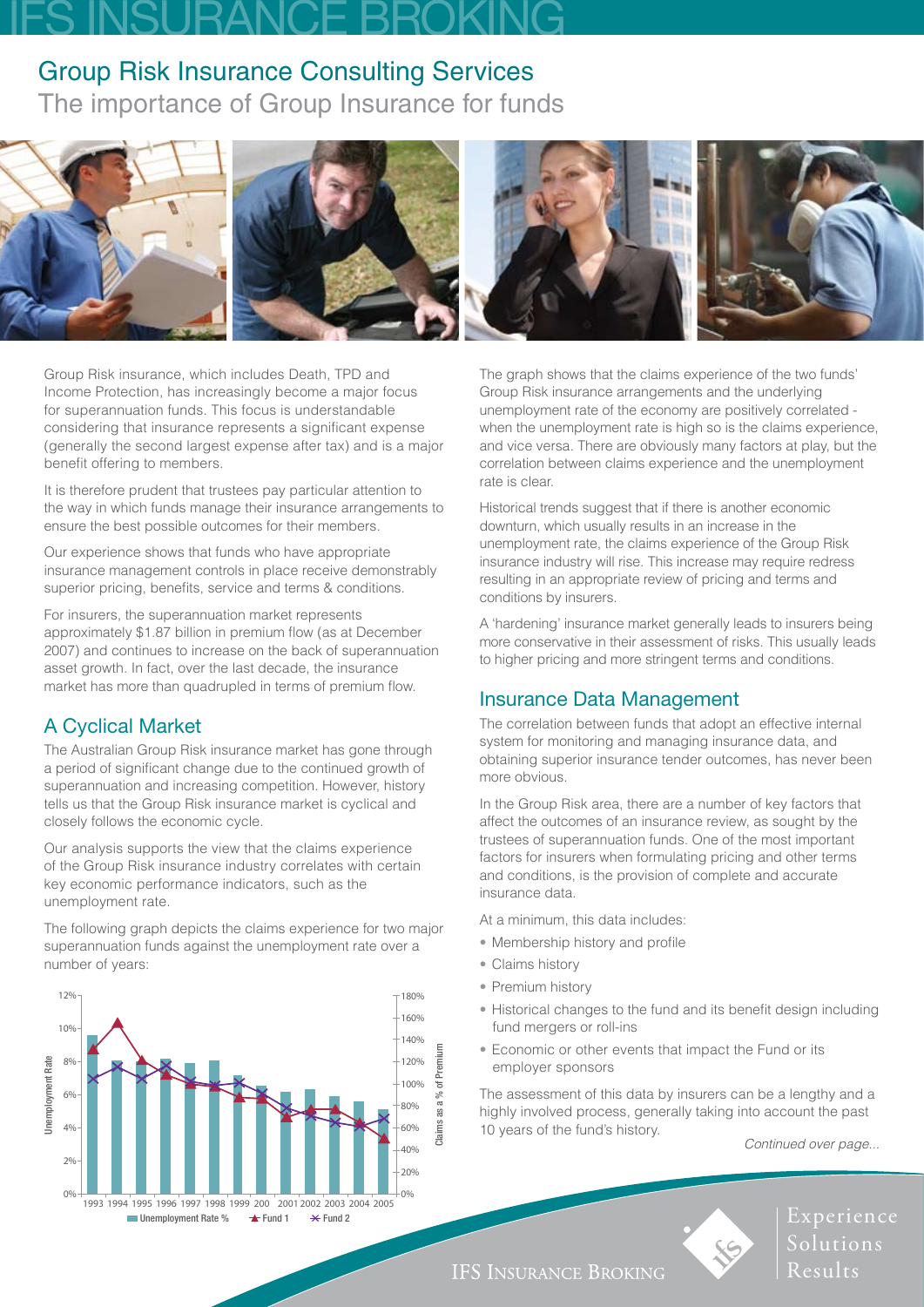# IFS INSURANCE BROKING

Group Risk Insurance Consulting Services The importance of Group Insurance for funds



Group Risk insurance, which includes Death, TPD and Income Protection, has increasingly become a major focus for superannuation funds. This focus is understandable considering that insurance represents a significant expense (generally the second largest expense after tax) and is a major benefit offering to members.

It is therefore prudent that trustees pay particular attention to the way in which funds manage their insurance arrangements to ensure the best possible outcomes for their members.

Our experience shows that funds who have appropriate insurance management controls in place receive demonstrably superior pricing, benefits, service and terms & conditions.

For insurers, the superannuation market represents approximately \$1.87 billion in premium flow (as at December 2007) and continues to increase on the back of superannuation asset growth. In fact, over the last decade, the insurance market has more than quadrupled in terms of premium flow.

### A Cyclical Market

The Australian Group Risk insurance market has gone through a period of significant change due to the continued growth of superannuation and increasing competition. However, history tells us that the Group Risk insurance market is cyclical and closely follows the economic cycle.

Our analysis supports the view that the claims experience of the Group Risk insurance industry correlates with certain key economic performance indicators, such as the unemployment rate.

The following graph depicts the claims experience for two major superannuation funds against the unemployment rate over a number of years:



The graph shows that the claims experience of the two funds' Group Risk insurance arrangements and the underlying unemployment rate of the economy are positively correlated when the unemployment rate is high so is the claims experience, and vice versa. There are obviously many factors at play, but the correlation between claims experience and the unemployment rate is clear.

Historical trends suggest that if there is another economic downturn, which usually results in an increase in the unemployment rate, the claims experience of the Group Risk insurance industry will rise. This increase may require redress resulting in an appropriate review of pricing and terms and conditions by insurers.

A 'hardening' insurance market generally leads to insurers being more conservative in their assessment of risks. This usually leads to higher pricing and more stringent terms and conditions.

### Insurance Data Management

The correlation between funds that adopt an effective internal system for monitoring and managing insurance data, and obtaining superior insurance tender outcomes, has never been more obvious.

In the Group Risk area, there are a number of key factors that affect the outcomes of an insurance review, as sought by the trustees of superannuation funds. One of the most important factors for insurers when formulating pricing and other terms and conditions, is the provision of complete and accurate insurance data.

At a minimum, this data includes:

- Membership history and profile
- Claims history
- Premium history
- Historical changes to the fund and its benefit design including fund mergers or roll-ins
- Economic or other events that impact the Fund or its employer sponsors

The assessment of this data by insurers can be a lengthy and a highly involved process, generally taking into account the past 10 years of the fund's history.

*Continued over page...*



Experience Solutions Results

**IFS INSURANCE BROKING**